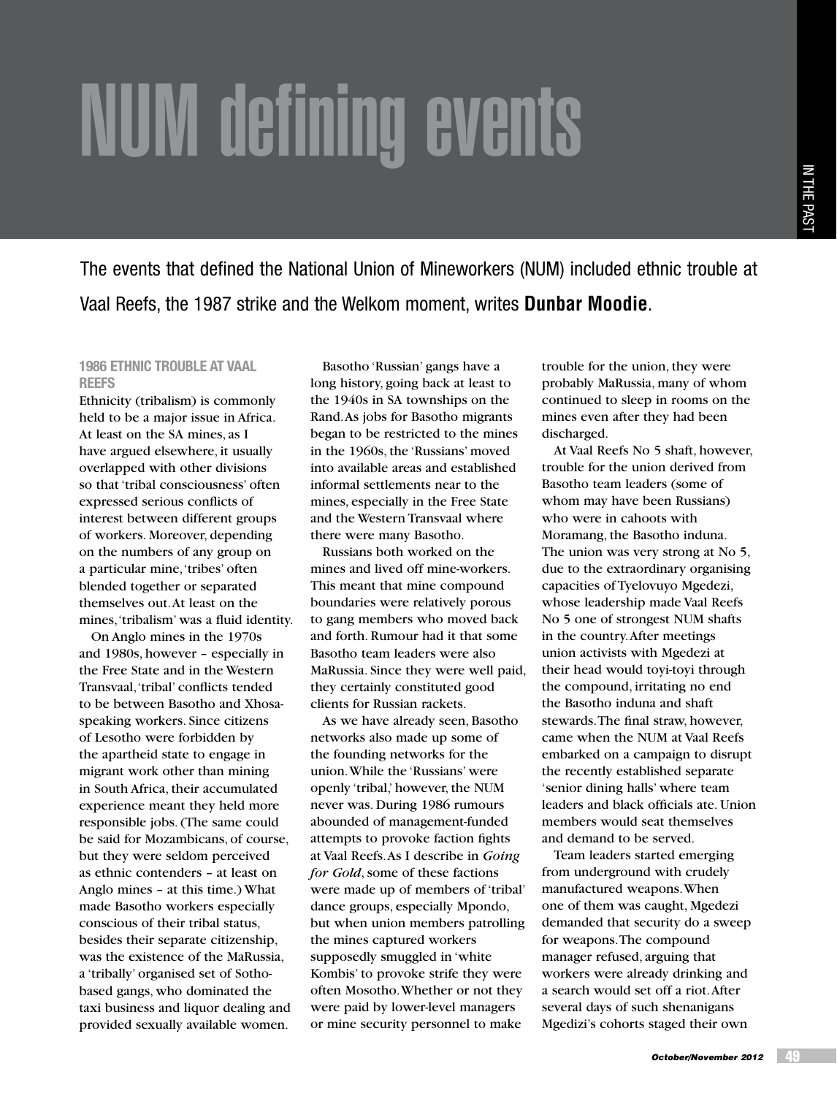# NUM defining events

The events that defined the National Union of Mineworkers (NUM) included ethnic trouble at Vaal Reefs, the 1987 strike and the Welkom moment, writes **Dunbar Moodie**.

# **1986 Ethnic trouble at Vaal Reefs**

Ethnicity (tribalism) is commonly held to be a major issue in Africa. At least on the SA mines, as I have argued elsewhere, it usually overlapped with other divisions so that 'tribal consciousness' often expressed serious conflicts of interest between different groups of workers. Moreover, depending on the numbers of any group on a particular mine, 'tribes' often blended together or separated themselves out. At least on the mines, 'tribalism' was a fluid identity.

On Anglo mines in the 1970s and 1980s, however – especially in the Free State and in the Western Transvaal, 'tribal' conflicts tended to be between Basotho and Xhosaspeaking workers. Since citizens of Lesotho were forbidden by the apartheid state to engage in migrant work other than mining in South Africa, their accumulated experience meant they held more responsible jobs. (The same could be said for Mozambicans, of course, but they were seldom perceived as ethnic contenders – at least on Anglo mines – at this time.) What made Basotho workers especially conscious of their tribal status, besides their separate citizenship, was the existence of the MaRussia, a 'tribally' organised set of Sothobased gangs, who dominated the taxi business and liquor dealing and provided sexually available women.

Basotho 'Russian' gangs have a long history, going back at least to the 1940s in SA townships on the Rand. As jobs for Basotho migrants began to be restricted to the mines in the 1960s, the 'Russians' moved into available areas and established informal settlements near to the mines, especially in the Free State and the Western Transvaal where there were many Basotho.

Russians both worked on the mines and lived off mine-workers. This meant that mine compound boundaries were relatively porous to gang members who moved back and forth. Rumour had it that some Basotho team leaders were also MaRussia. Since they were well paid, they certainly constituted good clients for Russian rackets.

As we have already seen, Basotho networks also made up some of the founding networks for the union. While the 'Russians' were openly 'tribal,' however, the NUM never was. During 1986 rumours abounded of management-funded attempts to provoke faction fights at Vaal Reefs. As I describe in *Going for Gold*, some of these factions were made up of members of 'tribal' dance groups, especially Mpondo, but when union members patrolling the mines captured workers supposedly smuggled in 'white Kombis' to provoke strife they were often Mosotho. Whether or not they were paid by lower-level managers or mine security personnel to make

trouble for the union, they were probably MaRussia, many of whom continued to sleep in rooms on the mines even after they had been discharged.

At Vaal Reefs No 5 shaft, however, trouble for the union derived from Basotho team leaders (some of whom may have been Russians) who were in cahoots with Moramang, the Basotho induna. The union was very strong at No 5, due to the extraordinary organising capacities of Tyelovuyo Mgedezi, whose leadership made Vaal Reefs No 5 one of strongest NUM shafts in the country. After meetings union activists with Mgedezi at their head would toyi-toyi through the compound, irritating no end the Basotho induna and shaft stewards. The final straw, however, came when the NUM at Vaal Reefs embarked on a campaign to disrupt the recently established separate 'senior dining halls' where team leaders and black officials ate. Union members would seat themselves and demand to be served.

Team leaders started emerging from underground with crudely manufactured weapons. When one of them was caught, Mgedezi demanded that security do a sweep for weapons. The compound manager refused, arguing that workers were already drinking and a search would set off a riot. After several days of such shenanigans Mgedizi's cohorts staged their own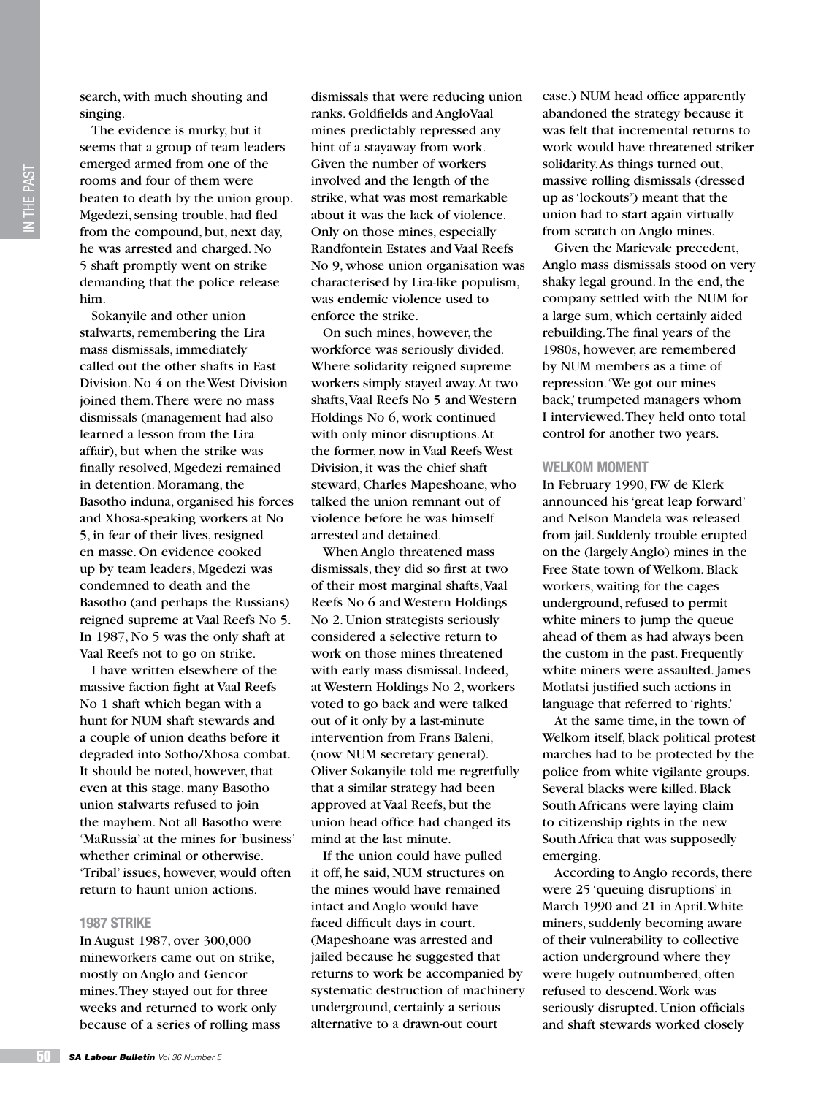The evidence is murky, but it seems that a group of team leaders emerged armed from one of the rooms and four of them were beaten to death by the union group. Mgedezi, sensing trouble, had fled from the compound, but, next day, he was arrested and charged. No 5 shaft promptly went on strike demanding that the police release him.

Sokanyile and other union stalwarts, remembering the Lira mass dismissals, immediately called out the other shafts in East Division. No 4 on the West Division joined them. There were no mass dismissals (management had also learned a lesson from the Lira affair), but when the strike was finally resolved, Mgedezi remained in detention. Moramang, the Basotho induna, organised his forces and Xhosa-speaking workers at No 5, in fear of their lives, resigned en masse. On evidence cooked up by team leaders, Mgedezi was condemned to death and the Basotho (and perhaps the Russians) reigned supreme at Vaal Reefs No 5. In 1987, No 5 was the only shaft at Vaal Reefs not to go on strike.

I have written elsewhere of the massive faction fight at Vaal Reefs No 1 shaft which began with a hunt for NUM shaft stewards and a couple of union deaths before it degraded into Sotho/Xhosa combat. It should be noted, however, that even at this stage, many Basotho union stalwarts refused to join the mayhem. Not all Basotho were 'MaRussia' at the mines for 'business' whether criminal or otherwise. 'Tribal' issues, however, would often return to haunt union actions.

## **1987 Strike**

In August 1987, over 300,000 mineworkers came out on strike, mostly on Anglo and Gencor mines. They stayed out for three weeks and returned to work only because of a series of rolling mass dismissals that were reducing union ranks. Goldfields and AngloVaal mines predictably repressed any hint of a stayaway from work. Given the number of workers involved and the length of the strike, what was most remarkable about it was the lack of violence. Only on those mines, especially Randfontein Estates and Vaal Reefs No 9, whose union organisation was characterised by Lira-like populism, was endemic violence used to enforce the strike.

On such mines, however, the workforce was seriously divided. Where solidarity reigned supreme workers simply stayed away. At two shafts, Vaal Reefs No 5 and Western Holdings No 6, work continued with only minor disruptions. At the former, now in Vaal Reefs West Division, it was the chief shaft steward, Charles Mapeshoane, who talked the union remnant out of violence before he was himself arrested and detained.

When Anglo threatened mass dismissals, they did so first at two of their most marginal shafts, Vaal Reefs No 6 and Western Holdings No 2. Union strategists seriously considered a selective return to work on those mines threatened with early mass dismissal. Indeed, at Western Holdings No 2, workers voted to go back and were talked out of it only by a last-minute intervention from Frans Baleni, (now NUM secretary general). Oliver Sokanyile told me regretfully that a similar strategy had been approved at Vaal Reefs, but the union head office had changed its mind at the last minute.

If the union could have pulled it off, he said, NUM structures on the mines would have remained intact and Anglo would have faced difficult days in court. (Mapeshoane was arrested and jailed because he suggested that returns to work be accompanied by systematic destruction of machinery underground, certainly a serious alternative to a drawn-out court

case.) NUM head office apparently abandoned the strategy because it was felt that incremental returns to work would have threatened striker solidarity. As things turned out, massive rolling dismissals (dressed up as 'lockouts') meant that the union had to start again virtually from scratch on Anglo mines.

Given the Marievale precedent, Anglo mass dismissals stood on very shaky legal ground. In the end, the company settled with the NUM for a large sum, which certainly aided rebuilding. The final years of the 1980s, however, are remembered by NUM members as a time of repression. 'We got our mines back,' trumpeted managers whom I interviewed. They held onto total control for another two years.

### **Welkom moment**

In February 1990, FW de Klerk announced his 'great leap forward' and Nelson Mandela was released from jail. Suddenly trouble erupted on the (largely Anglo) mines in the Free State town of Welkom. Black workers, waiting for the cages underground, refused to permit white miners to jump the queue ahead of them as had always been the custom in the past. Frequently white miners were assaulted. James Motlatsi justified such actions in language that referred to 'rights.'

At the same time, in the town of Welkom itself, black political protest marches had to be protected by the police from white vigilante groups. Several blacks were killed. Black South Africans were laying claim to citizenship rights in the new South Africa that was supposedly emerging.

According to Anglo records, there were 25 'queuing disruptions' in March 1990 and 21 in April. White miners, suddenly becoming aware of their vulnerability to collective action underground where they were hugely outnumbered, often refused to descend. Work was seriously disrupted. Union officials and shaft stewards worked closely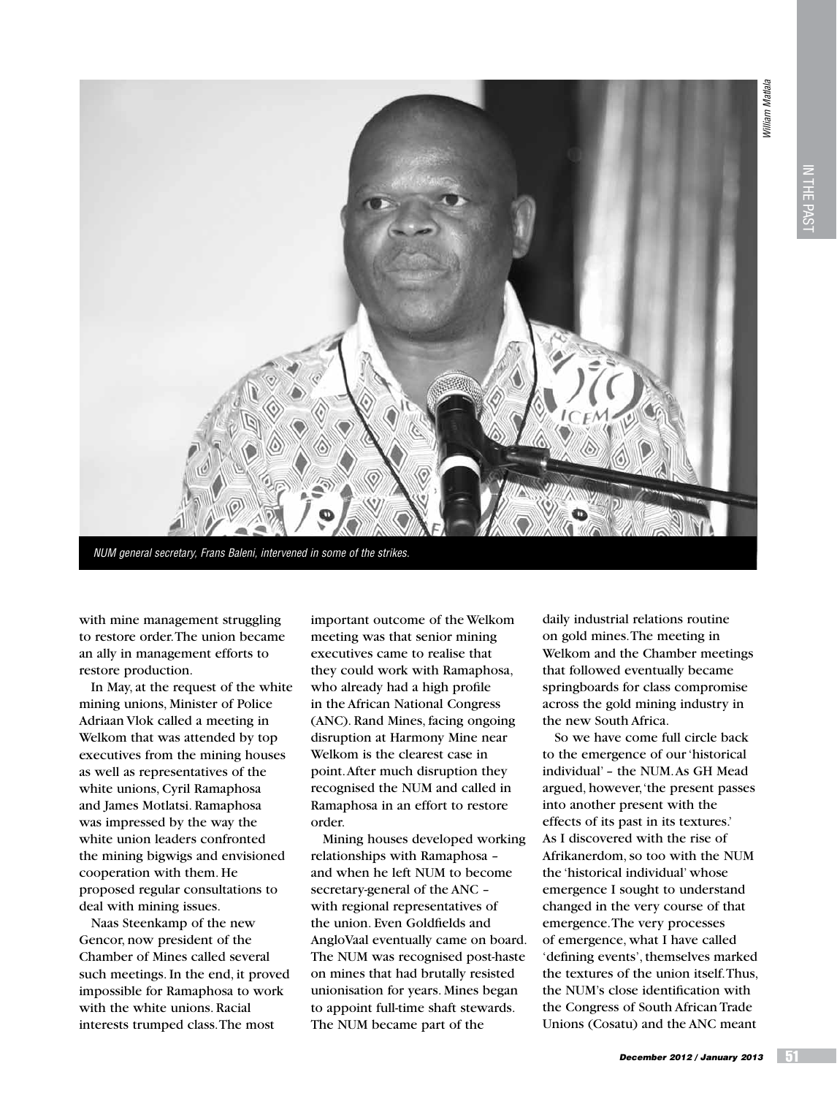**William Matlala** *William Matlala*



*NUM general secretary, Frans Baleni, intervened in some of the strikes.*

with mine management struggling to restore order. The union became an ally in management efforts to restore production.

In May, at the request of the white mining unions, Minister of Police Adriaan Vlok called a meeting in Welkom that was attended by top executives from the mining houses as well as representatives of the white unions, Cyril Ramaphosa and James Motlatsi. Ramaphosa was impressed by the way the white union leaders confronted the mining bigwigs and envisioned cooperation with them. He proposed regular consultations to deal with mining issues.

Naas Steenkamp of the new Gencor, now president of the Chamber of Mines called several such meetings. In the end, it proved impossible for Ramaphosa to work with the white unions. Racial interests trumped class. The most

important outcome of the Welkom meeting was that senior mining executives came to realise that they could work with Ramaphosa, who already had a high profile in the African National Congress (ANC). Rand Mines, facing ongoing disruption at Harmony Mine near Welkom is the clearest case in point. After much disruption they recognised the NUM and called in Ramaphosa in an effort to restore order.

Mining houses developed working relationships with Ramaphosa – and when he left NUM to become secretary-general of the ANC – with regional representatives of the union. Even Goldfields and AngloVaal eventually came on board. The NUM was recognised post-haste on mines that had brutally resisted unionisation for years. Mines began to appoint full-time shaft stewards. The NUM became part of the

daily industrial relations routine on gold mines. The meeting in Welkom and the Chamber meetings that followed eventually became springboards for class compromise across the gold mining industry in the new South Africa.

So we have come full circle back to the emergence of our 'historical individual' – the NUM. As GH Mead argued, however, 'the present passes into another present with the effects of its past in its textures.' As I discovered with the rise of Afrikanerdom, so too with the NUM the 'historical individual' whose emergence I sought to understand changed in the very course of that emergence. The very processes of emergence, what I have called 'defining events', themselves marked the textures of the union itself. Thus, the NUM's close identification with the Congress of South African Trade Unions (Cosatu) and the ANC meant